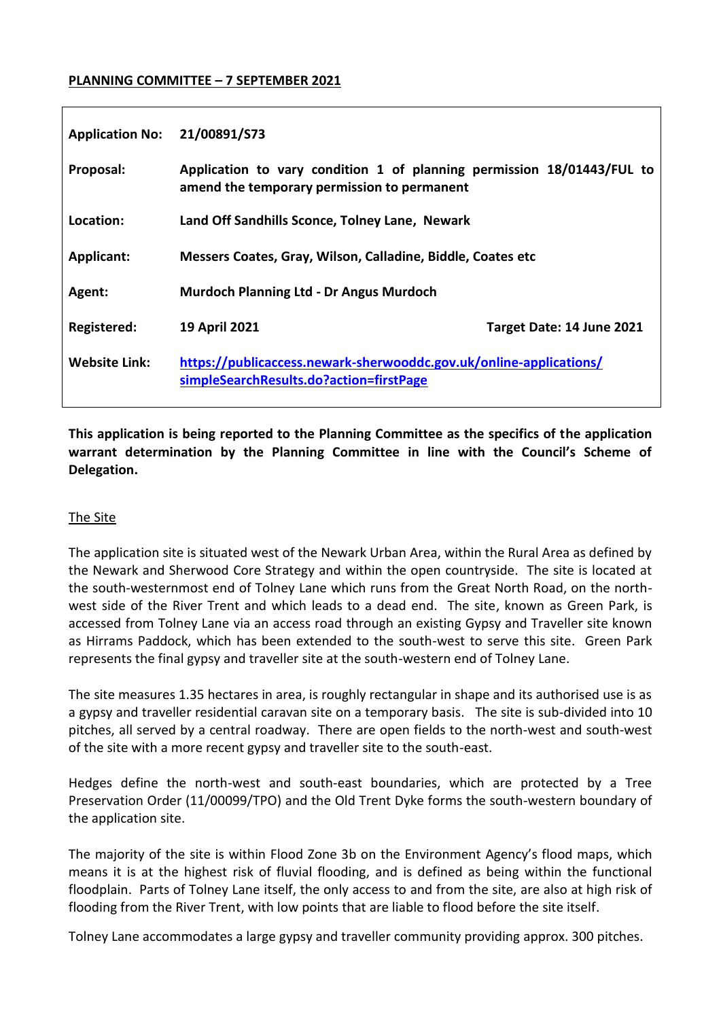#### **PLANNING COMMITTEE – 7 SEPTEMBER 2021**

| <b>Application No:</b> | 21/00891/S73                                                                                                          |                           |
|------------------------|-----------------------------------------------------------------------------------------------------------------------|---------------------------|
| Proposal:              | Application to vary condition 1 of planning permission 18/01443/FUL to<br>amend the temporary permission to permanent |                           |
| Location:              | Land Off Sandhills Sconce, Tolney Lane, Newark                                                                        |                           |
| Applicant:             | Messers Coates, Gray, Wilson, Calladine, Biddle, Coates etc                                                           |                           |
| Agent:                 | <b>Murdoch Planning Ltd - Dr Angus Murdoch</b>                                                                        |                           |
| <b>Registered:</b>     | 19 April 2021                                                                                                         | Target Date: 14 June 2021 |
| <b>Website Link:</b>   | https://publicaccess.newark-sherwooddc.gov.uk/online-applications/<br>simpleSearchResults.do?action=firstPage         |                           |

**This application is being reported to the Planning Committee as the specifics of the application warrant determination by the Planning Committee in line with the Council's Scheme of Delegation.** 

### The Site

The application site is situated west of the Newark Urban Area, within the Rural Area as defined by the Newark and Sherwood Core Strategy and within the open countryside. The site is located at the south-westernmost end of Tolney Lane which runs from the Great North Road, on the northwest side of the River Trent and which leads to a dead end. The site, known as Green Park, is accessed from Tolney Lane via an access road through an existing Gypsy and Traveller site known as Hirrams Paddock, which has been extended to the south-west to serve this site. Green Park represents the final gypsy and traveller site at the south-western end of Tolney Lane.

The site measures 1.35 hectares in area, is roughly rectangular in shape and its authorised use is as a gypsy and traveller residential caravan site on a temporary basis. The site is sub-divided into 10 pitches, all served by a central roadway. There are open fields to the north-west and south-west of the site with a more recent gypsy and traveller site to the south-east.

Hedges define the north-west and south-east boundaries, which are protected by a Tree Preservation Order (11/00099/TPO) and the Old Trent Dyke forms the south-western boundary of the application site.

The majority of the site is within Flood Zone 3b on the Environment Agency's flood maps, which means it is at the highest risk of fluvial flooding, and is defined as being within the functional floodplain. Parts of Tolney Lane itself, the only access to and from the site, are also at high risk of flooding from the River Trent, with low points that are liable to flood before the site itself.

Tolney Lane accommodates a large gypsy and traveller community providing approx. 300 pitches.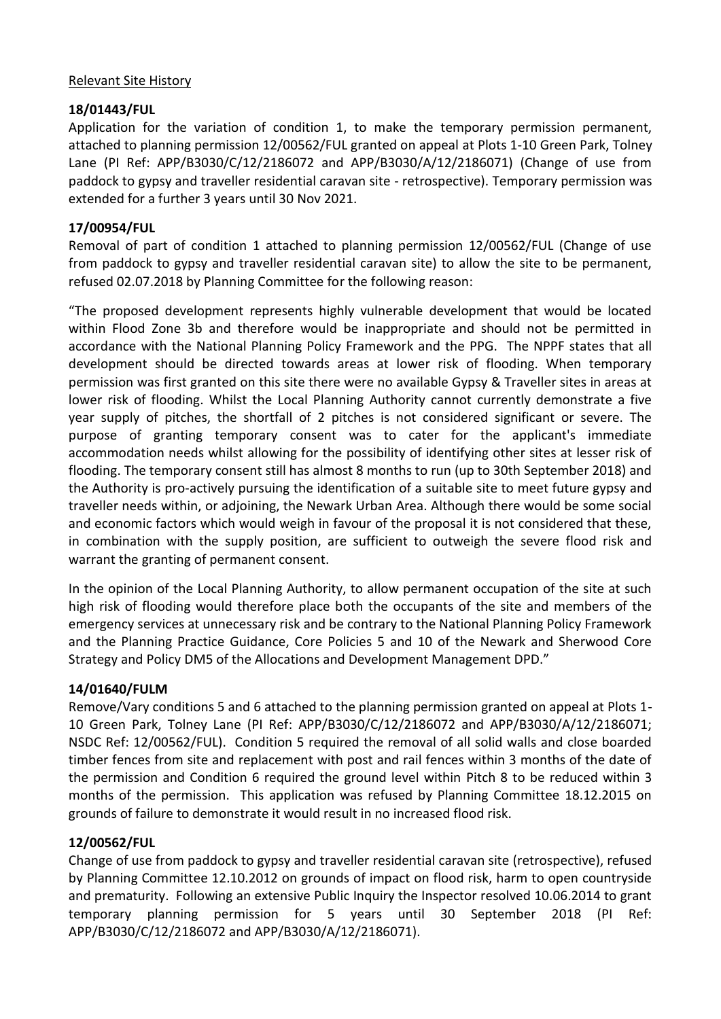#### Relevant Site History

# **18/01443/FUL**

Application for the variation of condition 1, to make the temporary permission permanent, attached to planning permission 12/00562/FUL granted on appeal at Plots 1-10 Green Park, Tolney Lane (PI Ref: APP/B3030/C/12/2186072 and APP/B3030/A/12/2186071) (Change of use from paddock to gypsy and traveller residential caravan site - retrospective). Temporary permission was extended for a further 3 years until 30 Nov 2021.

# **17/00954/FUL**

Removal of part of condition 1 attached to planning permission 12/00562/FUL (Change of use from paddock to gypsy and traveller residential caravan site) to allow the site to be permanent, refused 02.07.2018 by Planning Committee for the following reason:

"The proposed development represents highly vulnerable development that would be located within Flood Zone 3b and therefore would be inappropriate and should not be permitted in accordance with the National Planning Policy Framework and the PPG. The NPPF states that all development should be directed towards areas at lower risk of flooding. When temporary permission was first granted on this site there were no available Gypsy & Traveller sites in areas at lower risk of flooding. Whilst the Local Planning Authority cannot currently demonstrate a five year supply of pitches, the shortfall of 2 pitches is not considered significant or severe. The purpose of granting temporary consent was to cater for the applicant's immediate accommodation needs whilst allowing for the possibility of identifying other sites at lesser risk of flooding. The temporary consent still has almost 8 months to run (up to 30th September 2018) and the Authority is pro-actively pursuing the identification of a suitable site to meet future gypsy and traveller needs within, or adjoining, the Newark Urban Area. Although there would be some social and economic factors which would weigh in favour of the proposal it is not considered that these, in combination with the supply position, are sufficient to outweigh the severe flood risk and warrant the granting of permanent consent.

In the opinion of the Local Planning Authority, to allow permanent occupation of the site at such high risk of flooding would therefore place both the occupants of the site and members of the emergency services at unnecessary risk and be contrary to the National Planning Policy Framework and the Planning Practice Guidance, Core Policies 5 and 10 of the Newark and Sherwood Core Strategy and Policy DM5 of the Allocations and Development Management DPD."

# **14/01640/FULM**

Remove/Vary conditions 5 and 6 attached to the planning permission granted on appeal at Plots 1- 10 Green Park, Tolney Lane (PI Ref: APP/B3030/C/12/2186072 and APP/B3030/A/12/2186071; NSDC Ref: 12/00562/FUL). Condition 5 required the removal of all solid walls and close boarded timber fences from site and replacement with post and rail fences within 3 months of the date of the permission and Condition 6 required the ground level within Pitch 8 to be reduced within 3 months of the permission. This application was refused by Planning Committee 18.12.2015 on grounds of failure to demonstrate it would result in no increased flood risk.

# **12/00562/FUL**

Change of use from paddock to gypsy and traveller residential caravan site (retrospective), refused by Planning Committee 12.10.2012 on grounds of impact on flood risk, harm to open countryside and prematurity. Following an extensive Public Inquiry the Inspector resolved 10.06.2014 to grant temporary planning permission for 5 years until 30 September 2018 (PI Ref: APP/B3030/C/12/2186072 and APP/B3030/A/12/2186071).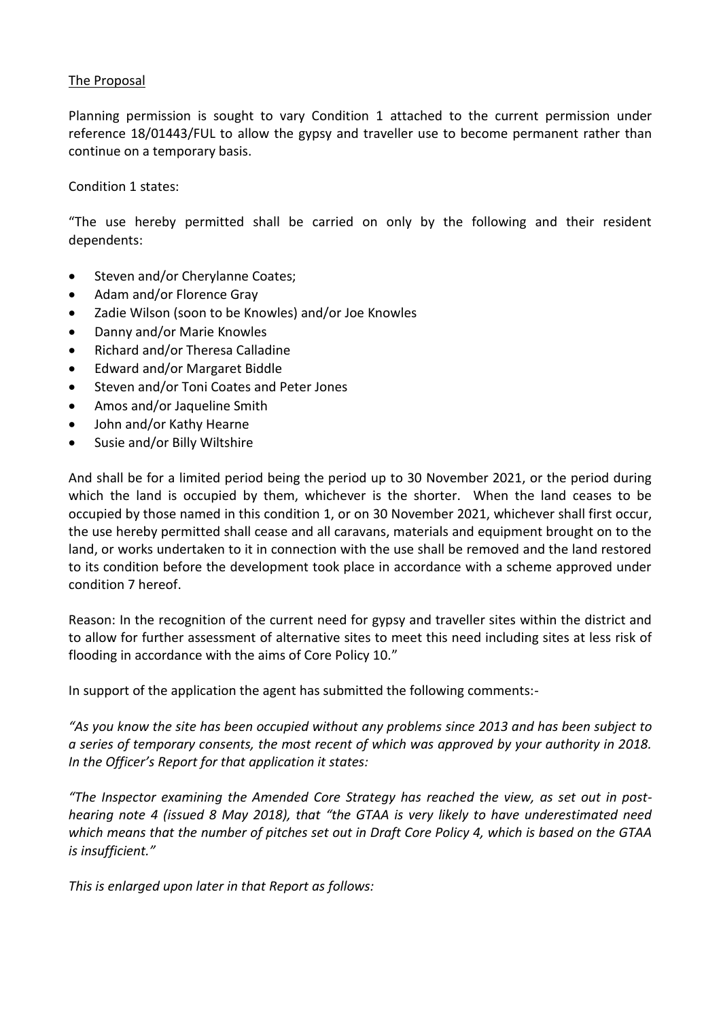#### The Proposal

Planning permission is sought to vary Condition 1 attached to the current permission under reference 18/01443/FUL to allow the gypsy and traveller use to become permanent rather than continue on a temporary basis.

Condition 1 states:

"The use hereby permitted shall be carried on only by the following and their resident dependents:

- Steven and/or Cherylanne Coates;
- Adam and/or Florence Gray
- Zadie Wilson (soon to be Knowles) and/or Joe Knowles
- Danny and/or Marie Knowles
- Richard and/or Theresa Calladine
- Edward and/or Margaret Biddle
- Steven and/or Toni Coates and Peter Jones
- Amos and/or Jaqueline Smith
- John and/or Kathy Hearne
- Susie and/or Billy Wiltshire

And shall be for a limited period being the period up to 30 November 2021, or the period during which the land is occupied by them, whichever is the shorter. When the land ceases to be occupied by those named in this condition 1, or on 30 November 2021, whichever shall first occur, the use hereby permitted shall cease and all caravans, materials and equipment brought on to the land, or works undertaken to it in connection with the use shall be removed and the land restored to its condition before the development took place in accordance with a scheme approved under condition 7 hereof.

Reason: In the recognition of the current need for gypsy and traveller sites within the district and to allow for further assessment of alternative sites to meet this need including sites at less risk of flooding in accordance with the aims of Core Policy 10."

In support of the application the agent has submitted the following comments:-

*"As you know the site has been occupied without any problems since 2013 and has been subject to a series of temporary consents, the most recent of which was approved by your authority in 2018. In the Officer's Report for that application it states:*

*"The Inspector examining the Amended Core Strategy has reached the view, as set out in posthearing note 4 (issued 8 May 2018), that "the GTAA is very likely to have underestimated need which means that the number of pitches set out in Draft Core Policy 4, which is based on the GTAA is insufficient."*

*This is enlarged upon later in that Report as follows:*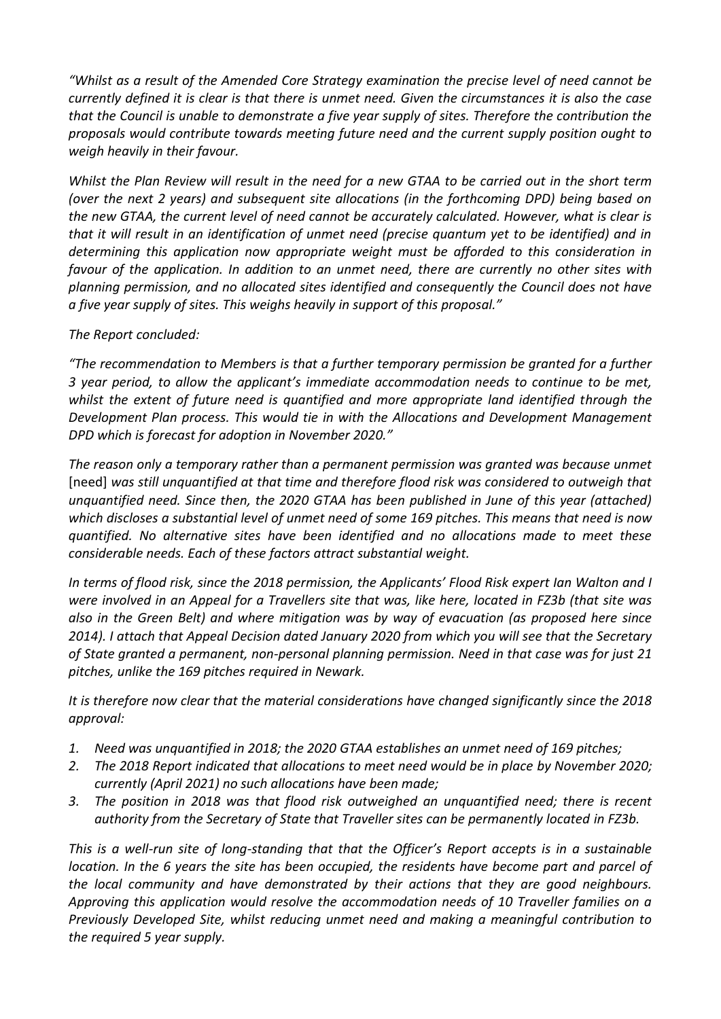*"Whilst as a result of the Amended Core Strategy examination the precise level of need cannot be currently defined it is clear is that there is unmet need. Given the circumstances it is also the case that the Council is unable to demonstrate a five year supply of sites. Therefore the contribution the proposals would contribute towards meeting future need and the current supply position ought to weigh heavily in their favour.*

*Whilst the Plan Review will result in the need for a new GTAA to be carried out in the short term (over the next 2 years) and subsequent site allocations (in the forthcoming DPD) being based on the new GTAA, the current level of need cannot be accurately calculated. However, what is clear is that it will result in an identification of unmet need (precise quantum yet to be identified) and in determining this application now appropriate weight must be afforded to this consideration in favour of the application. In addition to an unmet need, there are currently no other sites with planning permission, and no allocated sites identified and consequently the Council does not have a five year supply of sites. This weighs heavily in support of this proposal."*

## *The Report concluded:*

*"The recommendation to Members is that a further temporary permission be granted for a further 3 year period, to allow the applicant's immediate accommodation needs to continue to be met, whilst the extent of future need is quantified and more appropriate land identified through the Development Plan process. This would tie in with the Allocations and Development Management DPD which is forecast for adoption in November 2020."*

*The reason only a temporary rather than a permanent permission was granted was because unmet*  [need] *was still unquantified at that time and therefore flood risk was considered to outweigh that unquantified need. Since then, the 2020 GTAA has been published in June of this year (attached) which discloses a substantial level of unmet need of some 169 pitches. This means that need is now quantified. No alternative sites have been identified and no allocations made to meet these considerable needs. Each of these factors attract substantial weight.*

*In terms of flood risk, since the 2018 permission, the Applicants' Flood Risk expert Ian Walton and I were involved in an Appeal for a Travellers site that was, like here, located in FZ3b (that site was also in the Green Belt) and where mitigation was by way of evacuation (as proposed here since 2014). I attach that Appeal Decision dated January 2020 from which you will see that the Secretary of State granted a permanent, non-personal planning permission. Need in that case was for just 21 pitches, unlike the 169 pitches required in Newark.*

*It is therefore now clear that the material considerations have changed significantly since the 2018 approval:* 

- *1. Need was unquantified in 2018; the 2020 GTAA establishes an unmet need of 169 pitches;*
- *2. The 2018 Report indicated that allocations to meet need would be in place by November 2020; currently (April 2021) no such allocations have been made;*
- *3. The position in 2018 was that flood risk outweighed an unquantified need; there is recent authority from the Secretary of State that Traveller sites can be permanently located in FZ3b.*

*This is a well-run site of long-standing that that the Officer's Report accepts is in a sustainable location. In the 6 years the site has been occupied, the residents have become part and parcel of the local community and have demonstrated by their actions that they are good neighbours. Approving this application would resolve the accommodation needs of 10 Traveller families on a Previously Developed Site, whilst reducing unmet need and making a meaningful contribution to the required 5 year supply.*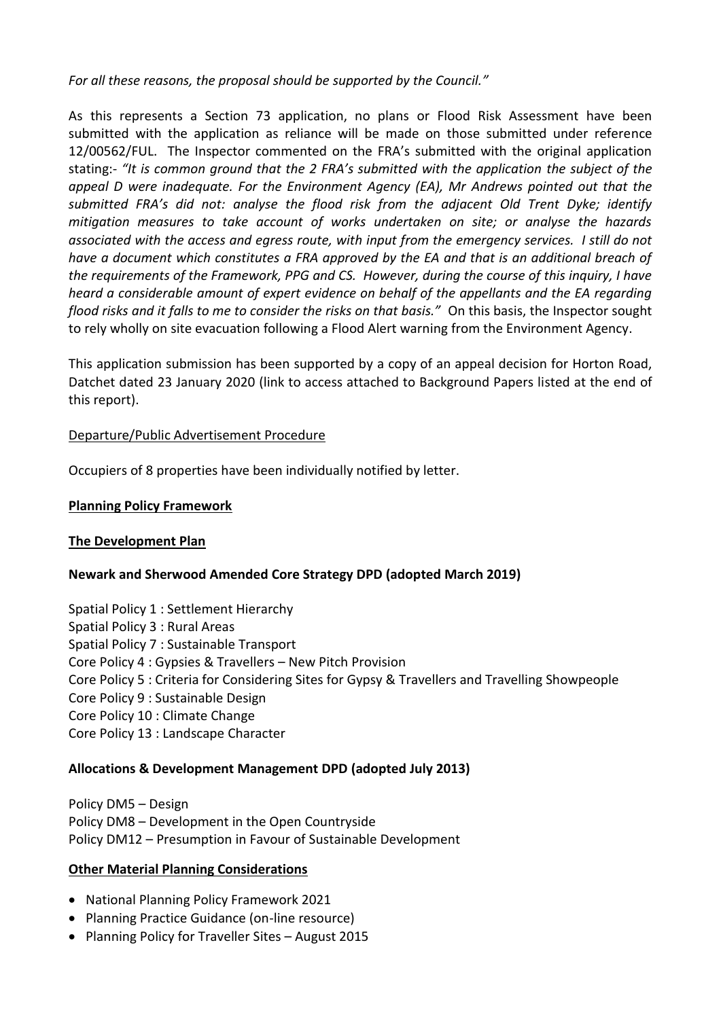*For all these reasons, the proposal should be supported by the Council."*

As this represents a Section 73 application, no plans or Flood Risk Assessment have been submitted with the application as reliance will be made on those submitted under reference 12/00562/FUL. The Inspector commented on the FRA's submitted with the original application stating:- *"It is common ground that the 2 FRA's submitted with the application the subject of the appeal D were inadequate. For the Environment Agency (EA), Mr Andrews pointed out that the submitted FRA's did not: analyse the flood risk from the adjacent Old Trent Dyke; identify mitigation measures to take account of works undertaken on site; or analyse the hazards associated with the access and egress route, with input from the emergency services. I still do not have a document which constitutes a FRA approved by the EA and that is an additional breach of the requirements of the Framework, PPG and CS. However, during the course of this inquiry, I have heard a considerable amount of expert evidence on behalf of the appellants and the EA regarding flood risks and it falls to me to consider the risks on that basis."* On this basis, the Inspector sought to rely wholly on site evacuation following a Flood Alert warning from the Environment Agency.

This application submission has been supported by a copy of an appeal decision for Horton Road, Datchet dated 23 January 2020 (link to access attached to Background Papers listed at the end of this report).

## Departure/Public Advertisement Procedure

Occupiers of 8 properties have been individually notified by letter.

## **Planning Policy Framework**

#### **The Development Plan**

# **Newark and Sherwood Amended Core Strategy DPD (adopted March 2019)**

Spatial Policy 1 : Settlement Hierarchy Spatial Policy 3 : Rural Areas Spatial Policy 7 : Sustainable Transport Core Policy 4 : Gypsies & Travellers – New Pitch Provision Core Policy 5 : Criteria for Considering Sites for Gypsy & Travellers and Travelling Showpeople Core Policy 9 : Sustainable Design Core Policy 10 : Climate Change Core Policy 13 : Landscape Character

#### **Allocations & Development Management DPD (adopted July 2013)**

Policy DM5 – Design Policy DM8 – Development in the Open Countryside Policy DM12 – Presumption in Favour of Sustainable Development

#### **Other Material Planning Considerations**

- National Planning Policy Framework 2021
- Planning Practice Guidance (on-line resource)
- Planning Policy for Traveller Sites August 2015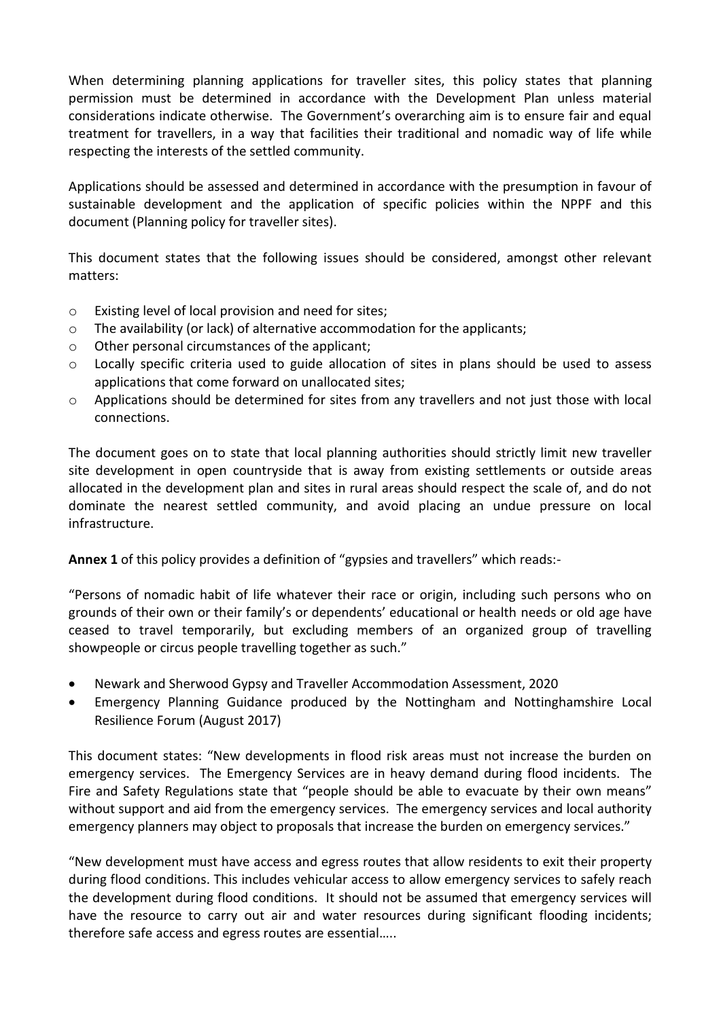When determining planning applications for traveller sites, this policy states that planning permission must be determined in accordance with the Development Plan unless material considerations indicate otherwise. The Government's overarching aim is to ensure fair and equal treatment for travellers, in a way that facilities their traditional and nomadic way of life while respecting the interests of the settled community.

Applications should be assessed and determined in accordance with the presumption in favour of sustainable development and the application of specific policies within the NPPF and this document (Planning policy for traveller sites).

This document states that the following issues should be considered, amongst other relevant matters:

- o Existing level of local provision and need for sites;
- $\circ$  The availability (or lack) of alternative accommodation for the applicants;
- o Other personal circumstances of the applicant;
- o Locally specific criteria used to guide allocation of sites in plans should be used to assess applications that come forward on unallocated sites;
- $\circ$  Applications should be determined for sites from any travellers and not just those with local connections.

The document goes on to state that local planning authorities should strictly limit new traveller site development in open countryside that is away from existing settlements or outside areas allocated in the development plan and sites in rural areas should respect the scale of, and do not dominate the nearest settled community, and avoid placing an undue pressure on local infrastructure.

**Annex 1** of this policy provides a definition of "gypsies and travellers" which reads:-

"Persons of nomadic habit of life whatever their race or origin, including such persons who on grounds of their own or their family's or dependents' educational or health needs or old age have ceased to travel temporarily, but excluding members of an organized group of travelling showpeople or circus people travelling together as such."

- Newark and Sherwood Gypsy and Traveller Accommodation Assessment, 2020
- Emergency Planning Guidance produced by the Nottingham and Nottinghamshire Local Resilience Forum (August 2017)

This document states: "New developments in flood risk areas must not increase the burden on emergency services. The Emergency Services are in heavy demand during flood incidents. The Fire and Safety Regulations state that "people should be able to evacuate by their own means" without support and aid from the emergency services. The emergency services and local authority emergency planners may object to proposals that increase the burden on emergency services."

"New development must have access and egress routes that allow residents to exit their property during flood conditions. This includes vehicular access to allow emergency services to safely reach the development during flood conditions. It should not be assumed that emergency services will have the resource to carry out air and water resources during significant flooding incidents; therefore safe access and egress routes are essential…..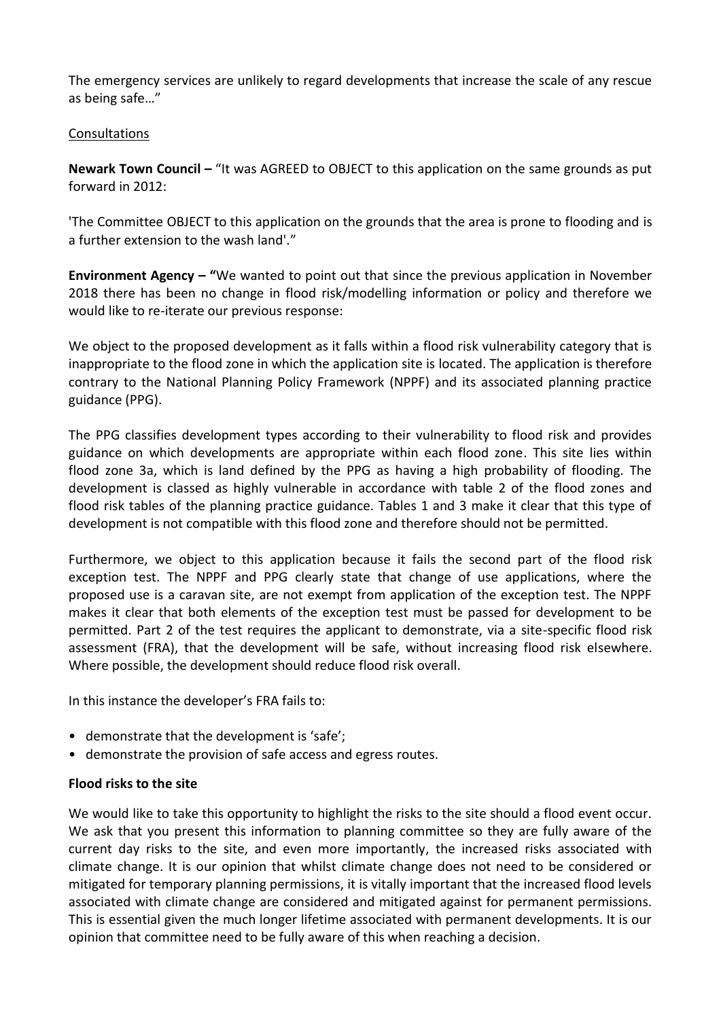The emergency services are unlikely to regard developments that increase the scale of any rescue as being safe…"

## Consultations

**Newark Town Council –** "It was AGREED to OBJECT to this application on the same grounds as put forward in 2012:

'The Committee OBJECT to this application on the grounds that the area is prone to flooding and is a further extension to the wash land'."

**Environment Agency – "**We wanted to point out that since the previous application in November 2018 there has been no change in flood risk/modelling information or policy and therefore we would like to re-iterate our previous response:

We object to the proposed development as it falls within a flood risk vulnerability category that is inappropriate to the flood zone in which the application site is located. The application is therefore contrary to the National Planning Policy Framework (NPPF) and its associated planning practice guidance (PPG).

The PPG classifies development types according to their vulnerability to flood risk and provides guidance on which developments are appropriate within each flood zone. This site lies within flood zone 3a, which is land defined by the PPG as having a high probability of flooding. The development is classed as highly vulnerable in accordance with table 2 of the flood zones and flood risk tables of the planning practice guidance. Tables 1 and 3 make it clear that this type of development is not compatible with this flood zone and therefore should not be permitted.

Furthermore, we object to this application because it fails the second part of the flood risk exception test. The NPPF and PPG clearly state that change of use applications, where the proposed use is a caravan site, are not exempt from application of the exception test. The NPPF makes it clear that both elements of the exception test must be passed for development to be permitted. Part 2 of the test requires the applicant to demonstrate, via a site-specific flood risk assessment (FRA), that the development will be safe, without increasing flood risk elsewhere. Where possible, the development should reduce flood risk overall.

In this instance the developer's FRA fails to:

- demonstrate that the development is 'safe';
- demonstrate the provision of safe access and egress routes.

# **Flood risks to the site**

We would like to take this opportunity to highlight the risks to the site should a flood event occur. We ask that you present this information to planning committee so they are fully aware of the current day risks to the site, and even more importantly, the increased risks associated with climate change. It is our opinion that whilst climate change does not need to be considered or mitigated for temporary planning permissions, it is vitally important that the increased flood levels associated with climate change are considered and mitigated against for permanent permissions. This is essential given the much longer lifetime associated with permanent developments. It is our opinion that committee need to be fully aware of this when reaching a decision.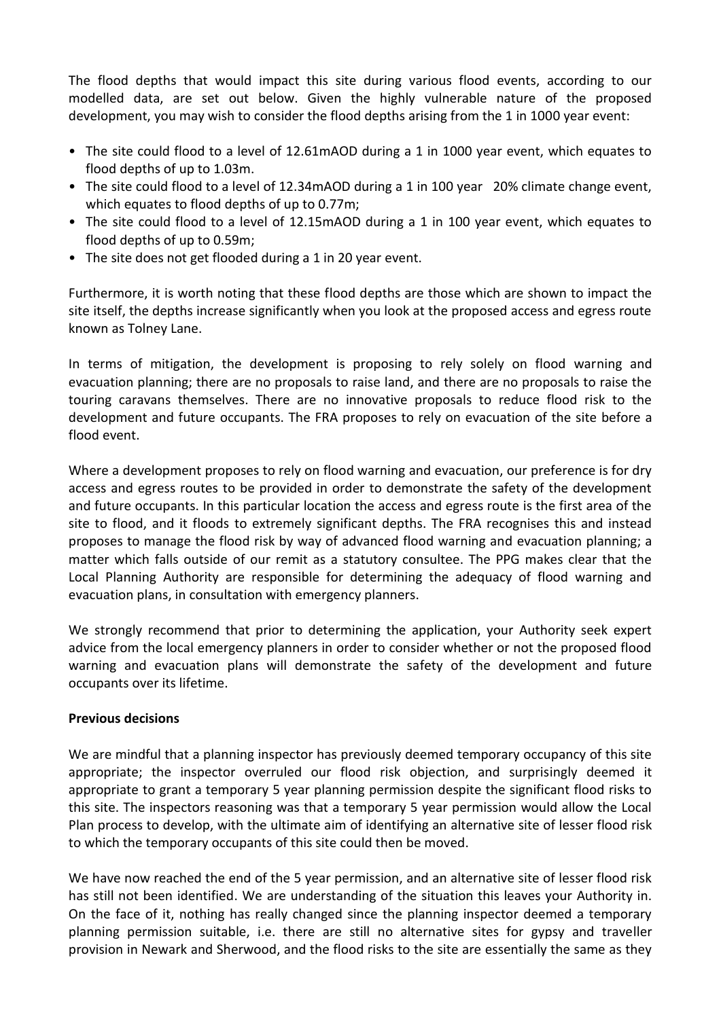The flood depths that would impact this site during various flood events, according to our modelled data, are set out below. Given the highly vulnerable nature of the proposed development, you may wish to consider the flood depths arising from the 1 in 1000 year event:

- The site could flood to a level of 12.61mAOD during a 1 in 1000 year event, which equates to flood depths of up to 1.03m.
- The site could flood to a level of 12.34mAOD during a 1 in 100 year 20% climate change event, which equates to flood depths of up to 0.77m;
- The site could flood to a level of 12.15mAOD during a 1 in 100 year event, which equates to flood depths of up to 0.59m;
- The site does not get flooded during a 1 in 20 year event.

Furthermore, it is worth noting that these flood depths are those which are shown to impact the site itself, the depths increase significantly when you look at the proposed access and egress route known as Tolney Lane.

In terms of mitigation, the development is proposing to rely solely on flood warning and evacuation planning; there are no proposals to raise land, and there are no proposals to raise the touring caravans themselves. There are no innovative proposals to reduce flood risk to the development and future occupants. The FRA proposes to rely on evacuation of the site before a flood event.

Where a development proposes to rely on flood warning and evacuation, our preference is for dry access and egress routes to be provided in order to demonstrate the safety of the development and future occupants. In this particular location the access and egress route is the first area of the site to flood, and it floods to extremely significant depths. The FRA recognises this and instead proposes to manage the flood risk by way of advanced flood warning and evacuation planning; a matter which falls outside of our remit as a statutory consultee. The PPG makes clear that the Local Planning Authority are responsible for determining the adequacy of flood warning and evacuation plans, in consultation with emergency planners.

We strongly recommend that prior to determining the application, your Authority seek expert advice from the local emergency planners in order to consider whether or not the proposed flood warning and evacuation plans will demonstrate the safety of the development and future occupants over its lifetime.

# **Previous decisions**

We are mindful that a planning inspector has previously deemed temporary occupancy of this site appropriate; the inspector overruled our flood risk objection, and surprisingly deemed it appropriate to grant a temporary 5 year planning permission despite the significant flood risks to this site. The inspectors reasoning was that a temporary 5 year permission would allow the Local Plan process to develop, with the ultimate aim of identifying an alternative site of lesser flood risk to which the temporary occupants of this site could then be moved.

We have now reached the end of the 5 year permission, and an alternative site of lesser flood risk has still not been identified. We are understanding of the situation this leaves your Authority in. On the face of it, nothing has really changed since the planning inspector deemed a temporary planning permission suitable, i.e. there are still no alternative sites for gypsy and traveller provision in Newark and Sherwood, and the flood risks to the site are essentially the same as they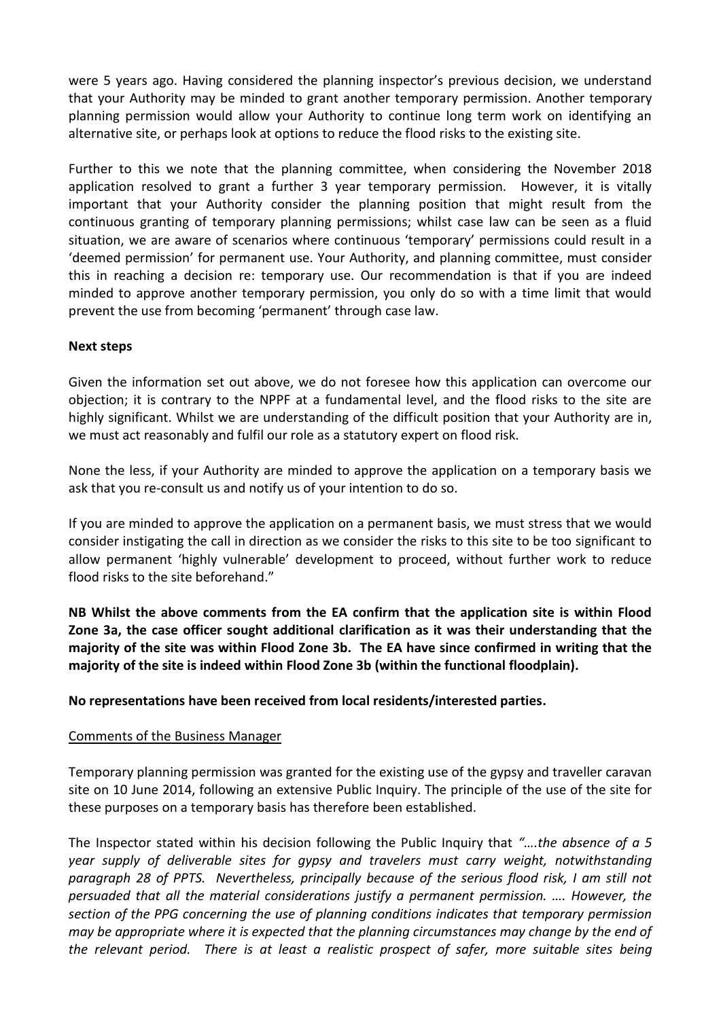were 5 years ago. Having considered the planning inspector's previous decision, we understand that your Authority may be minded to grant another temporary permission. Another temporary planning permission would allow your Authority to continue long term work on identifying an alternative site, or perhaps look at options to reduce the flood risks to the existing site.

Further to this we note that the planning committee, when considering the November 2018 application resolved to grant a further 3 year temporary permission. However, it is vitally important that your Authority consider the planning position that might result from the continuous granting of temporary planning permissions; whilst case law can be seen as a fluid situation, we are aware of scenarios where continuous 'temporary' permissions could result in a 'deemed permission' for permanent use. Your Authority, and planning committee, must consider this in reaching a decision re: temporary use. Our recommendation is that if you are indeed minded to approve another temporary permission, you only do so with a time limit that would prevent the use from becoming 'permanent' through case law.

#### **Next steps**

Given the information set out above, we do not foresee how this application can overcome our objection; it is contrary to the NPPF at a fundamental level, and the flood risks to the site are highly significant. Whilst we are understanding of the difficult position that your Authority are in, we must act reasonably and fulfil our role as a statutory expert on flood risk.

None the less, if your Authority are minded to approve the application on a temporary basis we ask that you re-consult us and notify us of your intention to do so.

If you are minded to approve the application on a permanent basis, we must stress that we would consider instigating the call in direction as we consider the risks to this site to be too significant to allow permanent 'highly vulnerable' development to proceed, without further work to reduce flood risks to the site beforehand."

**NB Whilst the above comments from the EA confirm that the application site is within Flood Zone 3a, the case officer sought additional clarification as it was their understanding that the majority of the site was within Flood Zone 3b. The EA have since confirmed in writing that the majority of the site is indeed within Flood Zone 3b (within the functional floodplain).**

**No representations have been received from local residents/interested parties.** 

#### Comments of the Business Manager

Temporary planning permission was granted for the existing use of the gypsy and traveller caravan site on 10 June 2014, following an extensive Public Inquiry. The principle of the use of the site for these purposes on a temporary basis has therefore been established.

The Inspector stated within his decision following the Public Inquiry that *"….the absence of a 5 year supply of deliverable sites for gypsy and travelers must carry weight, notwithstanding paragraph 28 of PPTS. Nevertheless, principally because of the serious flood risk, I am still not persuaded that all the material considerations justify a permanent permission. …. However, the section of the PPG concerning the use of planning conditions indicates that temporary permission may be appropriate where it is expected that the planning circumstances may change by the end of the relevant period. There is at least a realistic prospect of safer, more suitable sites being*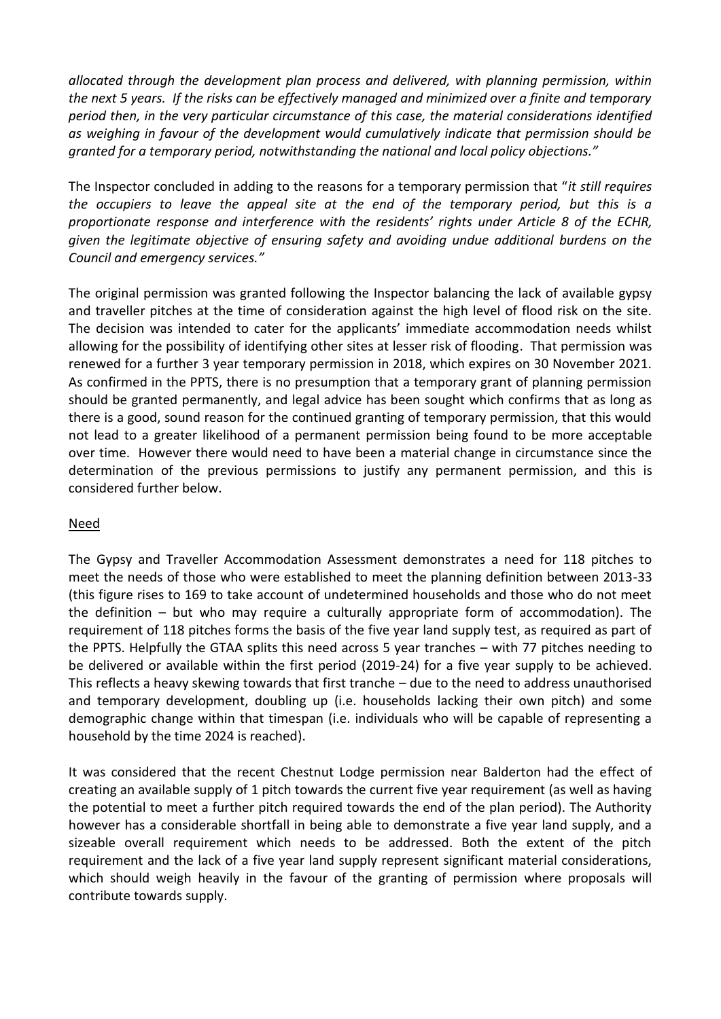*allocated through the development plan process and delivered, with planning permission, within the next 5 years. If the risks can be effectively managed and minimized over a finite and temporary period then, in the very particular circumstance of this case, the material considerations identified as weighing in favour of the development would cumulatively indicate that permission should be granted for a temporary period, notwithstanding the national and local policy objections."*

The Inspector concluded in adding to the reasons for a temporary permission that "*it still requires the occupiers to leave the appeal site at the end of the temporary period, but this is a proportionate response and interference with the residents' rights under Article 8 of the ECHR, given the legitimate objective of ensuring safety and avoiding undue additional burdens on the Council and emergency services."*

The original permission was granted following the Inspector balancing the lack of available gypsy and traveller pitches at the time of consideration against the high level of flood risk on the site. The decision was intended to cater for the applicants' immediate accommodation needs whilst allowing for the possibility of identifying other sites at lesser risk of flooding. That permission was renewed for a further 3 year temporary permission in 2018, which expires on 30 November 2021. As confirmed in the PPTS, there is no presumption that a temporary grant of planning permission should be granted permanently, and legal advice has been sought which confirms that as long as there is a good, sound reason for the continued granting of temporary permission, that this would not lead to a greater likelihood of a permanent permission being found to be more acceptable over time. However there would need to have been a material change in circumstance since the determination of the previous permissions to justify any permanent permission, and this is considered further below.

# Need

The Gypsy and Traveller Accommodation Assessment demonstrates a need for 118 pitches to meet the needs of those who were established to meet the planning definition between 2013-33 (this figure rises to 169 to take account of undetermined households and those who do not meet the definition – but who may require a culturally appropriate form of accommodation). The requirement of 118 pitches forms the basis of the five year land supply test, as required as part of the PPTS. Helpfully the GTAA splits this need across 5 year tranches – with 77 pitches needing to be delivered or available within the first period (2019-24) for a five year supply to be achieved. This reflects a heavy skewing towards that first tranche – due to the need to address unauthorised and temporary development, doubling up (i.e. households lacking their own pitch) and some demographic change within that timespan (i.e. individuals who will be capable of representing a household by the time 2024 is reached).

It was considered that the recent Chestnut Lodge permission near Balderton had the effect of creating an available supply of 1 pitch towards the current five year requirement (as well as having the potential to meet a further pitch required towards the end of the plan period). The Authority however has a considerable shortfall in being able to demonstrate a five year land supply, and a sizeable overall requirement which needs to be addressed. Both the extent of the pitch requirement and the lack of a five year land supply represent significant material considerations, which should weigh heavily in the favour of the granting of permission where proposals will contribute towards supply.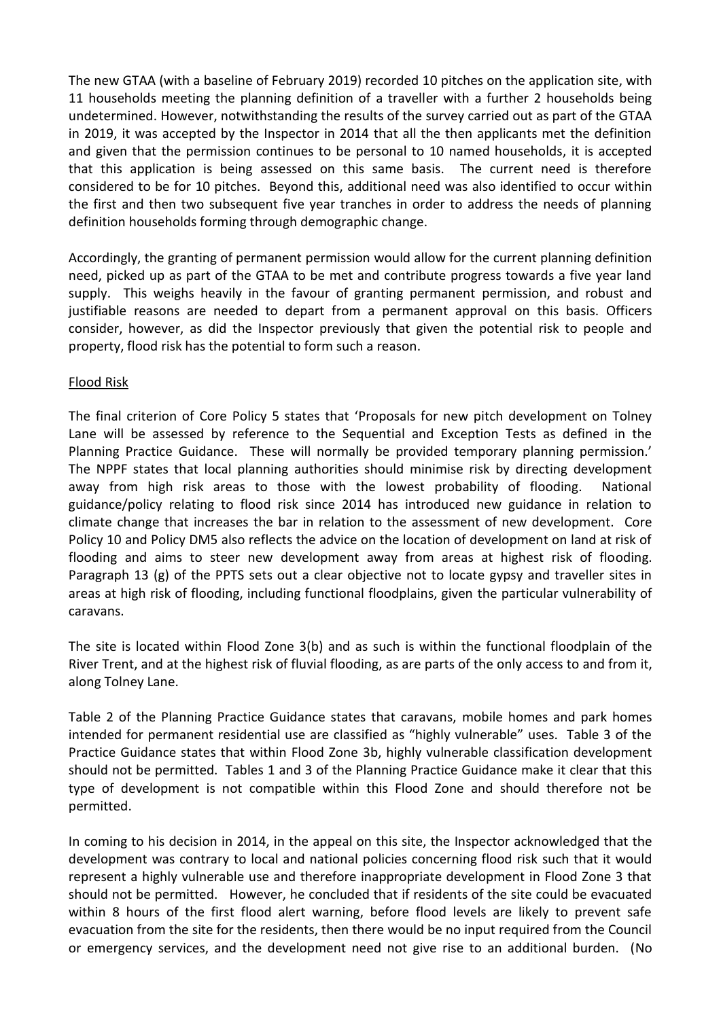The new GTAA (with a baseline of February 2019) recorded 10 pitches on the application site, with 11 households meeting the planning definition of a traveller with a further 2 households being undetermined. However, notwithstanding the results of the survey carried out as part of the GTAA in 2019, it was accepted by the Inspector in 2014 that all the then applicants met the definition and given that the permission continues to be personal to 10 named households, it is accepted that this application is being assessed on this same basis. The current need is therefore considered to be for 10 pitches. Beyond this, additional need was also identified to occur within the first and then two subsequent five year tranches in order to address the needs of planning definition households forming through demographic change.

Accordingly, the granting of permanent permission would allow for the current planning definition need, picked up as part of the GTAA to be met and contribute progress towards a five year land supply. This weighs heavily in the favour of granting permanent permission, and robust and justifiable reasons are needed to depart from a permanent approval on this basis. Officers consider, however, as did the Inspector previously that given the potential risk to people and property, flood risk has the potential to form such a reason.

#### Flood Risk

The final criterion of Core Policy 5 states that 'Proposals for new pitch development on Tolney Lane will be assessed by reference to the Sequential and Exception Tests as defined in the Planning Practice Guidance. These will normally be provided temporary planning permission.' The NPPF states that local planning authorities should minimise risk by directing development away from high risk areas to those with the lowest probability of flooding. National guidance/policy relating to flood risk since 2014 has introduced new guidance in relation to climate change that increases the bar in relation to the assessment of new development. Core Policy 10 and Policy DM5 also reflects the advice on the location of development on land at risk of flooding and aims to steer new development away from areas at highest risk of flooding. Paragraph 13 (g) of the PPTS sets out a clear objective not to locate gypsy and traveller sites in areas at high risk of flooding, including functional floodplains, given the particular vulnerability of caravans.

The site is located within Flood Zone 3(b) and as such is within the functional floodplain of the River Trent, and at the highest risk of fluvial flooding, as are parts of the only access to and from it, along Tolney Lane.

Table 2 of the Planning Practice Guidance states that caravans, mobile homes and park homes intended for permanent residential use are classified as "highly vulnerable" uses. Table 3 of the Practice Guidance states that within Flood Zone 3b, highly vulnerable classification development should not be permitted. Tables 1 and 3 of the Planning Practice Guidance make it clear that this type of development is not compatible within this Flood Zone and should therefore not be permitted.

In coming to his decision in 2014, in the appeal on this site, the Inspector acknowledged that the development was contrary to local and national policies concerning flood risk such that it would represent a highly vulnerable use and therefore inappropriate development in Flood Zone 3 that should not be permitted. However, he concluded that if residents of the site could be evacuated within 8 hours of the first flood alert warning, before flood levels are likely to prevent safe evacuation from the site for the residents, then there would be no input required from the Council or emergency services, and the development need not give rise to an additional burden. (No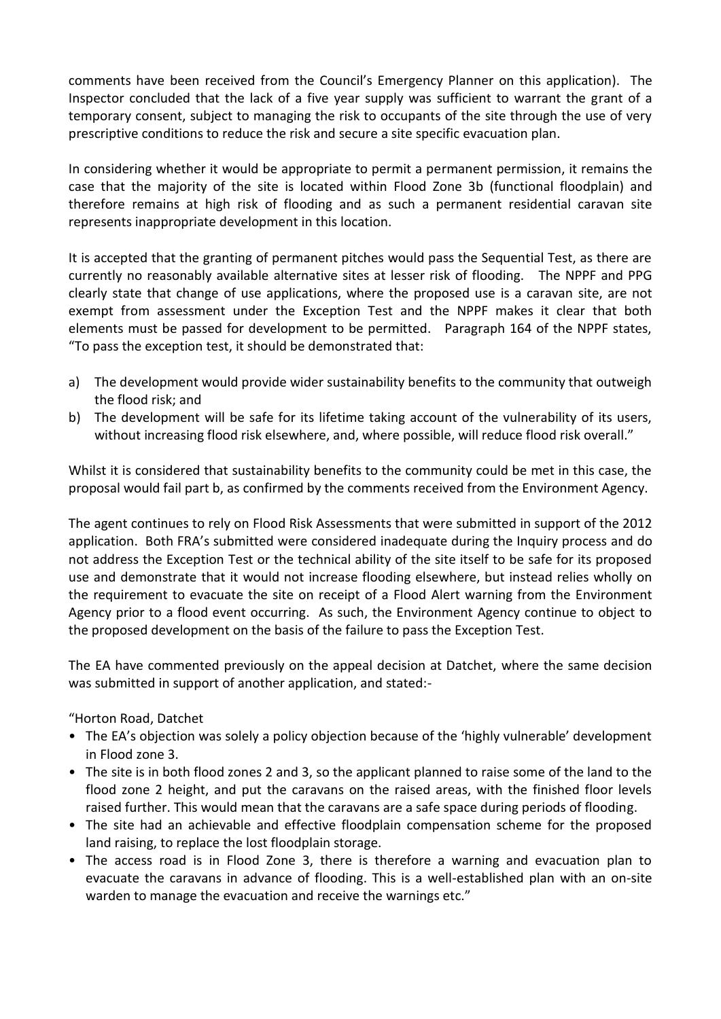comments have been received from the Council's Emergency Planner on this application). The Inspector concluded that the lack of a five year supply was sufficient to warrant the grant of a temporary consent, subject to managing the risk to occupants of the site through the use of very prescriptive conditions to reduce the risk and secure a site specific evacuation plan.

In considering whether it would be appropriate to permit a permanent permission, it remains the case that the majority of the site is located within Flood Zone 3b (functional floodplain) and therefore remains at high risk of flooding and as such a permanent residential caravan site represents inappropriate development in this location.

It is accepted that the granting of permanent pitches would pass the Sequential Test, as there are currently no reasonably available alternative sites at lesser risk of flooding. The NPPF and PPG clearly state that change of use applications, where the proposed use is a caravan site, are not exempt from assessment under the Exception Test and the NPPF makes it clear that both elements must be passed for development to be permitted. Paragraph 164 of the NPPF states, "To pass the exception test, it should be demonstrated that:

- a) The development would provide wider sustainability benefits to the community that outweigh the flood risk; and
- b) The development will be safe for its lifetime taking account of the vulnerability of its users, without increasing flood risk elsewhere, and, where possible, will reduce flood risk overall."

Whilst it is considered that sustainability benefits to the community could be met in this case, the proposal would fail part b, as confirmed by the comments received from the Environment Agency.

The agent continues to rely on Flood Risk Assessments that were submitted in support of the 2012 application. Both FRA's submitted were considered inadequate during the Inquiry process and do not address the Exception Test or the technical ability of the site itself to be safe for its proposed use and demonstrate that it would not increase flooding elsewhere, but instead relies wholly on the requirement to evacuate the site on receipt of a Flood Alert warning from the Environment Agency prior to a flood event occurring. As such, the Environment Agency continue to object to the proposed development on the basis of the failure to pass the Exception Test.

The EA have commented previously on the appeal decision at Datchet, where the same decision was submitted in support of another application, and stated:-

# "Horton Road, Datchet

- The EA's objection was solely a policy objection because of the 'highly vulnerable' development in Flood zone 3.
- The site is in both flood zones 2 and 3, so the applicant planned to raise some of the land to the flood zone 2 height, and put the caravans on the raised areas, with the finished floor levels raised further. This would mean that the caravans are a safe space during periods of flooding.
- The site had an achievable and effective floodplain compensation scheme for the proposed land raising, to replace the lost floodplain storage.
- The access road is in Flood Zone 3, there is therefore a warning and evacuation plan to evacuate the caravans in advance of flooding. This is a well-established plan with an on-site warden to manage the evacuation and receive the warnings etc."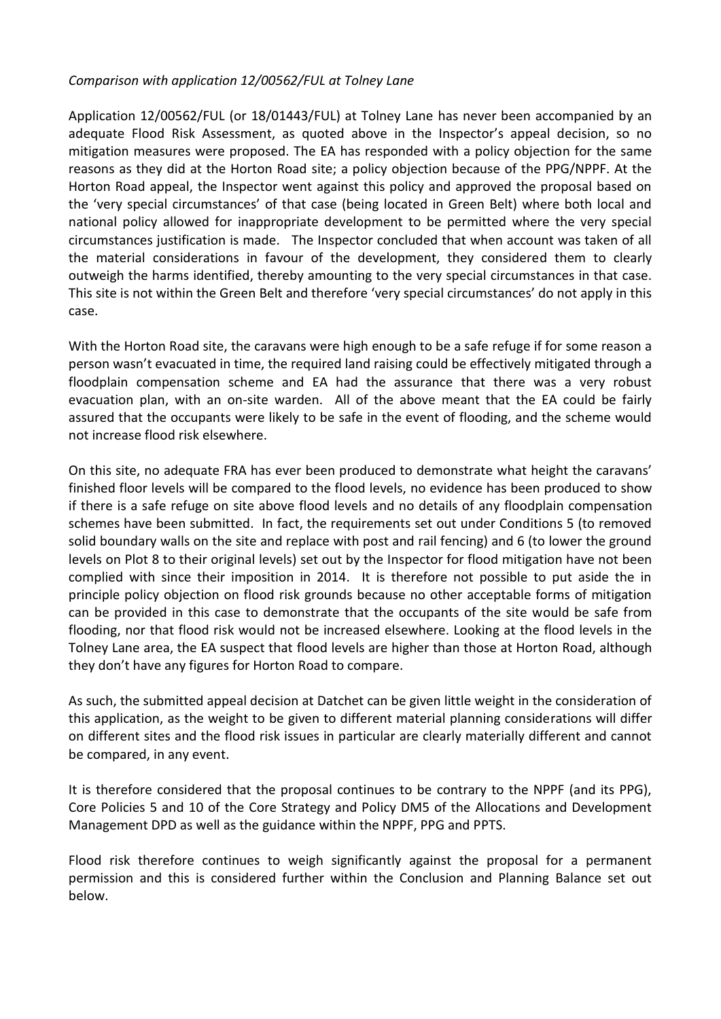## *Comparison with application 12/00562/FUL at Tolney Lane*

Application 12/00562/FUL (or 18/01443/FUL) at Tolney Lane has never been accompanied by an adequate Flood Risk Assessment, as quoted above in the Inspector's appeal decision, so no mitigation measures were proposed. The EA has responded with a policy objection for the same reasons as they did at the Horton Road site; a policy objection because of the PPG/NPPF. At the Horton Road appeal, the Inspector went against this policy and approved the proposal based on the 'very special circumstances' of that case (being located in Green Belt) where both local and national policy allowed for inappropriate development to be permitted where the very special circumstances justification is made. The Inspector concluded that when account was taken of all the material considerations in favour of the development, they considered them to clearly outweigh the harms identified, thereby amounting to the very special circumstances in that case. This site is not within the Green Belt and therefore 'very special circumstances' do not apply in this case.

With the Horton Road site, the caravans were high enough to be a safe refuge if for some reason a person wasn't evacuated in time, the required land raising could be effectively mitigated through a floodplain compensation scheme and EA had the assurance that there was a very robust evacuation plan, with an on-site warden. All of the above meant that the EA could be fairly assured that the occupants were likely to be safe in the event of flooding, and the scheme would not increase flood risk elsewhere.

On this site, no adequate FRA has ever been produced to demonstrate what height the caravans' finished floor levels will be compared to the flood levels, no evidence has been produced to show if there is a safe refuge on site above flood levels and no details of any floodplain compensation schemes have been submitted. In fact, the requirements set out under Conditions 5 (to removed solid boundary walls on the site and replace with post and rail fencing) and 6 (to lower the ground levels on Plot 8 to their original levels) set out by the Inspector for flood mitigation have not been complied with since their imposition in 2014. It is therefore not possible to put aside the in principle policy objection on flood risk grounds because no other acceptable forms of mitigation can be provided in this case to demonstrate that the occupants of the site would be safe from flooding, nor that flood risk would not be increased elsewhere. Looking at the flood levels in the Tolney Lane area, the EA suspect that flood levels are higher than those at Horton Road, although they don't have any figures for Horton Road to compare.

As such, the submitted appeal decision at Datchet can be given little weight in the consideration of this application, as the weight to be given to different material planning considerations will differ on different sites and the flood risk issues in particular are clearly materially different and cannot be compared, in any event.

It is therefore considered that the proposal continues to be contrary to the NPPF (and its PPG), Core Policies 5 and 10 of the Core Strategy and Policy DM5 of the Allocations and Development Management DPD as well as the guidance within the NPPF, PPG and PPTS.

Flood risk therefore continues to weigh significantly against the proposal for a permanent permission and this is considered further within the Conclusion and Planning Balance set out below.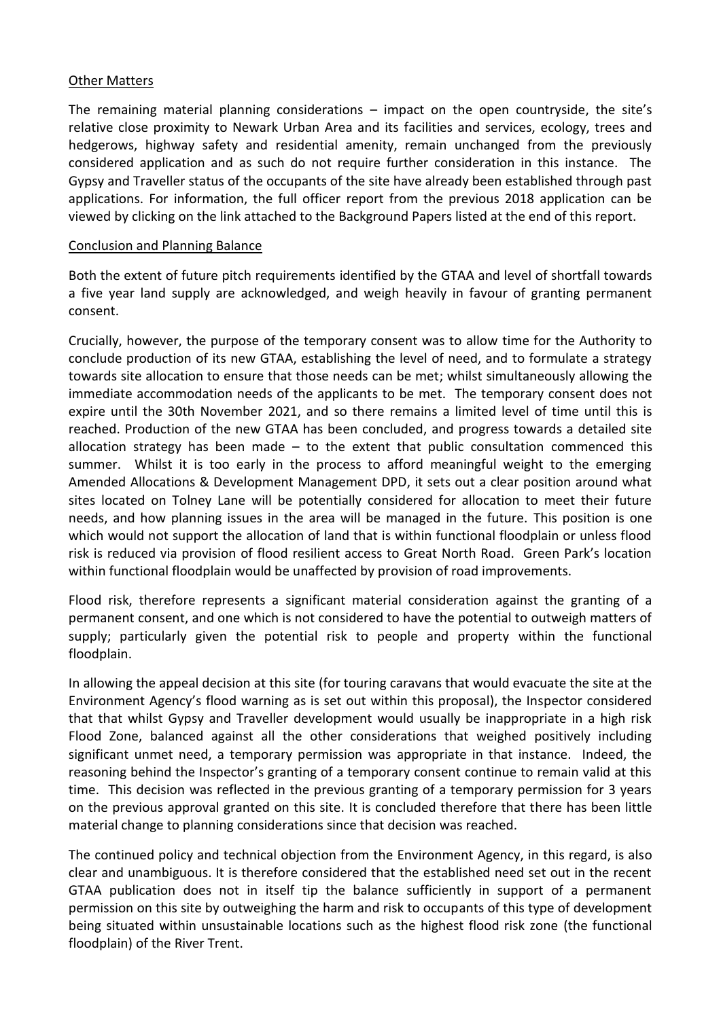#### Other Matters

The remaining material planning considerations – impact on the open countryside, the site's relative close proximity to Newark Urban Area and its facilities and services, ecology, trees and hedgerows, highway safety and residential amenity, remain unchanged from the previously considered application and as such do not require further consideration in this instance. The Gypsy and Traveller status of the occupants of the site have already been established through past applications. For information, the full officer report from the previous 2018 application can be viewed by clicking on the link attached to the Background Papers listed at the end of this report.

#### Conclusion and Planning Balance

Both the extent of future pitch requirements identified by the GTAA and level of shortfall towards a five year land supply are acknowledged, and weigh heavily in favour of granting permanent consent.

Crucially, however, the purpose of the temporary consent was to allow time for the Authority to conclude production of its new GTAA, establishing the level of need, and to formulate a strategy towards site allocation to ensure that those needs can be met; whilst simultaneously allowing the immediate accommodation needs of the applicants to be met. The temporary consent does not expire until the 30th November 2021, and so there remains a limited level of time until this is reached. Production of the new GTAA has been concluded, and progress towards a detailed site allocation strategy has been made  $-$  to the extent that public consultation commenced this summer. Whilst it is too early in the process to afford meaningful weight to the emerging Amended Allocations & Development Management DPD, it sets out a clear position around what sites located on Tolney Lane will be potentially considered for allocation to meet their future needs, and how planning issues in the area will be managed in the future. This position is one which would not support the allocation of land that is within functional floodplain or unless flood risk is reduced via provision of flood resilient access to Great North Road. Green Park's location within functional floodplain would be unaffected by provision of road improvements.

Flood risk, therefore represents a significant material consideration against the granting of a permanent consent, and one which is not considered to have the potential to outweigh matters of supply; particularly given the potential risk to people and property within the functional floodplain.

In allowing the appeal decision at this site (for touring caravans that would evacuate the site at the Environment Agency's flood warning as is set out within this proposal), the Inspector considered that that whilst Gypsy and Traveller development would usually be inappropriate in a high risk Flood Zone, balanced against all the other considerations that weighed positively including significant unmet need, a temporary permission was appropriate in that instance. Indeed, the reasoning behind the Inspector's granting of a temporary consent continue to remain valid at this time. This decision was reflected in the previous granting of a temporary permission for 3 years on the previous approval granted on this site. It is concluded therefore that there has been little material change to planning considerations since that decision was reached.

The continued policy and technical objection from the Environment Agency, in this regard, is also clear and unambiguous. It is therefore considered that the established need set out in the recent GTAA publication does not in itself tip the balance sufficiently in support of a permanent permission on this site by outweighing the harm and risk to occupants of this type of development being situated within unsustainable locations such as the highest flood risk zone (the functional floodplain) of the River Trent.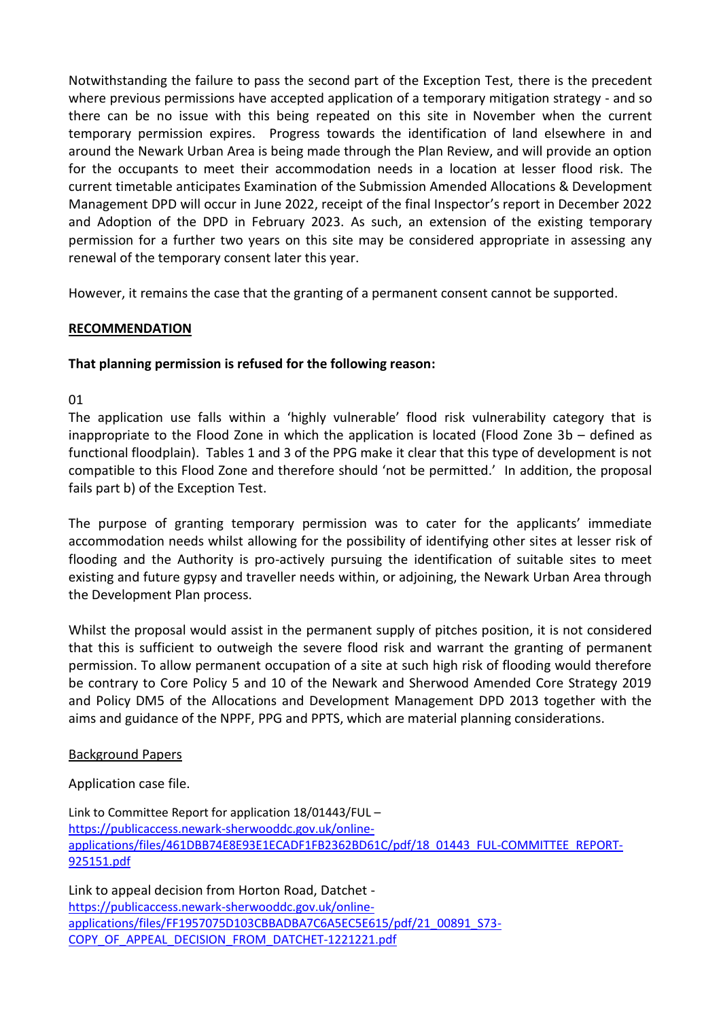Notwithstanding the failure to pass the second part of the Exception Test, there is the precedent where previous permissions have accepted application of a temporary mitigation strategy - and so there can be no issue with this being repeated on this site in November when the current temporary permission expires. Progress towards the identification of land elsewhere in and around the Newark Urban Area is being made through the Plan Review, and will provide an option for the occupants to meet their accommodation needs in a location at lesser flood risk. The current timetable anticipates Examination of the Submission Amended Allocations & Development Management DPD will occur in June 2022, receipt of the final Inspector's report in December 2022 and Adoption of the DPD in February 2023. As such, an extension of the existing temporary permission for a further two years on this site may be considered appropriate in assessing any renewal of the temporary consent later this year.

However, it remains the case that the granting of a permanent consent cannot be supported.

# **RECOMMENDATION**

# **That planning permission is refused for the following reason:**

## 01

The application use falls within a 'highly vulnerable' flood risk vulnerability category that is inappropriate to the Flood Zone in which the application is located (Flood Zone 3b – defined as functional floodplain). Tables 1 and 3 of the PPG make it clear that this type of development is not compatible to this Flood Zone and therefore should 'not be permitted.' In addition, the proposal fails part b) of the Exception Test.

The purpose of granting temporary permission was to cater for the applicants' immediate accommodation needs whilst allowing for the possibility of identifying other sites at lesser risk of flooding and the Authority is pro-actively pursuing the identification of suitable sites to meet existing and future gypsy and traveller needs within, or adjoining, the Newark Urban Area through the Development Plan process.

Whilst the proposal would assist in the permanent supply of pitches position, it is not considered that this is sufficient to outweigh the severe flood risk and warrant the granting of permanent permission. To allow permanent occupation of a site at such high risk of flooding would therefore be contrary to Core Policy 5 and 10 of the Newark and Sherwood Amended Core Strategy 2019 and Policy DM5 of the Allocations and Development Management DPD 2013 together with the aims and guidance of the NPPF, PPG and PPTS, which are material planning considerations.

# Background Papers

Application case file.

Link to Committee Report for application 18/01443/FUL – [https://publicaccess.newark-sherwooddc.gov.uk/online](https://publicaccess.newark-sherwooddc.gov.uk/online-applications/files/461DBB74E8E93E1ECADF1FB2362BD61C/pdf/18_01443_FUL-COMMITTEE_REPORT-925151.pdf)[applications/files/461DBB74E8E93E1ECADF1FB2362BD61C/pdf/18\\_01443\\_FUL-COMMITTEE\\_REPORT-](https://publicaccess.newark-sherwooddc.gov.uk/online-applications/files/461DBB74E8E93E1ECADF1FB2362BD61C/pdf/18_01443_FUL-COMMITTEE_REPORT-925151.pdf)[925151.pdf](https://publicaccess.newark-sherwooddc.gov.uk/online-applications/files/461DBB74E8E93E1ECADF1FB2362BD61C/pdf/18_01443_FUL-COMMITTEE_REPORT-925151.pdf)

Link to appeal decision from Horton Road, Datchet [https://publicaccess.newark-sherwooddc.gov.uk/online](https://publicaccess.newark-sherwooddc.gov.uk/online-applications/files/FF1957075D103CBBADBA7C6A5EC5E615/pdf/21_00891_S73-COPY_OF_APPEAL_DECISION_FROM_DATCHET-1221221.pdf)[applications/files/FF1957075D103CBBADBA7C6A5EC5E615/pdf/21\\_00891\\_S73-](https://publicaccess.newark-sherwooddc.gov.uk/online-applications/files/FF1957075D103CBBADBA7C6A5EC5E615/pdf/21_00891_S73-COPY_OF_APPEAL_DECISION_FROM_DATCHET-1221221.pdf) [COPY\\_OF\\_APPEAL\\_DECISION\\_FROM\\_DATCHET-1221221.pdf](https://publicaccess.newark-sherwooddc.gov.uk/online-applications/files/FF1957075D103CBBADBA7C6A5EC5E615/pdf/21_00891_S73-COPY_OF_APPEAL_DECISION_FROM_DATCHET-1221221.pdf)